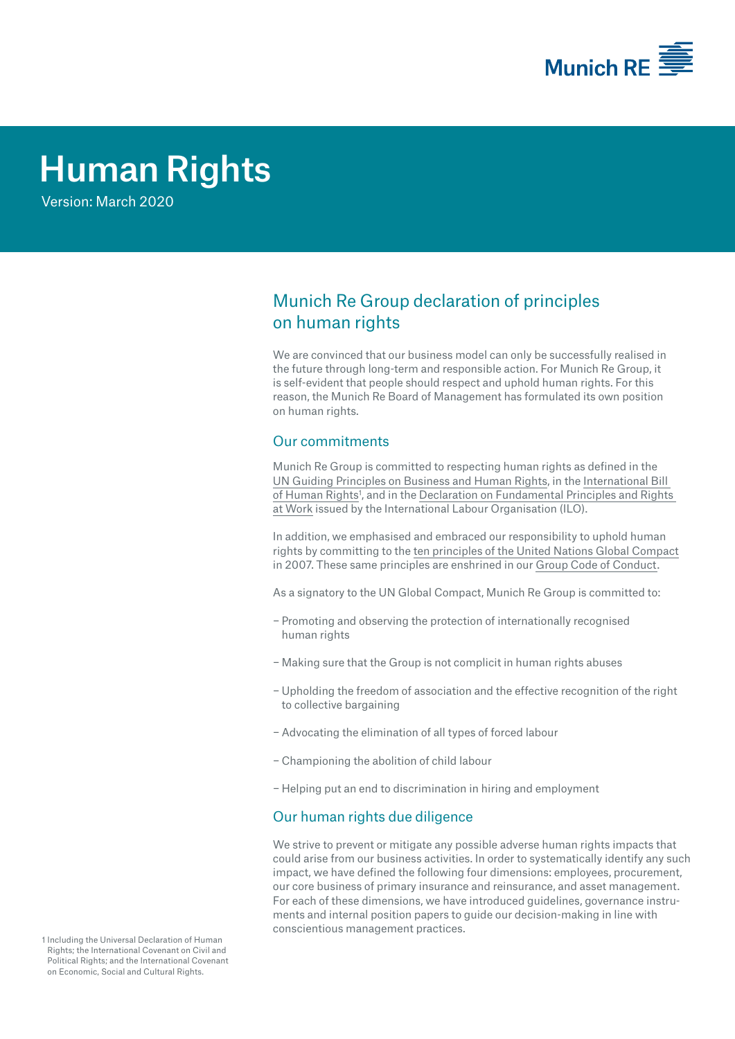

# Human Rights

Version: March 2020

# Munich Re Group declaration of principles on human rights

We are convinced that our business model can only be successfully realised in the future through long-term and responsible action. For Munich Re Group, it is self-evident that people should respect and uphold human rights. For this reason, the Munich Re Board of Management has formulated its own position on human rights.

# Our commitments

Munich Re Group is committed to respecting human rights as defined in the [UN Guiding Principles on Business and Human Rights,](https://www.ohchr.org/documents/publications/guidingprinciplesbusinesshr_en.pdf) in the [International Bill](https://www.ohchr.org/documents/publications/compilation1.1en.pdf)  of Human Rights<sup>1</sup>, and in the Declaration on Fundamental Principles and Rights at [Work](https://www.ilo.org/declaration/thedeclaration/textdeclaration/lang--en/index.htm) issued by the International Labour Organisation (ILO).

In addition, we emphasised and embraced our responsibility to uphold human rights by committing to the [ten principles of the United Nations Global Compact](https://www.unglobalcompact.org/what-is-gc/mission/principles) in 2007. These same principles are enshrined in our [Group Code of Conduct](https://www.munichre.com/content/dam/munichre/global/content-pieces/documents/MunichRe-Code-of-Conduct-2018_en.pdf/_jcr_content/renditions/original./MunichRe-Code-of-Conduct-2018_en.pdf).

As a signatory to the UN Global Compact, Munich Re Group is committed to:

- − Promoting and observing the protection of internationally recognised human rights
- − Making sure that the Group is not complicit in human rights abuses
- − Upholding the freedom of association and the effective recognition of the right to collective bargaining
- − Advocating the elimination of all types of forced labour
- − Championing the abolition of child labour
- − Helping put an end to discrimination in hiring and employment

## Our human rights due diligence

We strive to prevent or mitigate any possible adverse human rights impacts that could arise from our business activities. In order to systematically identify any such impact, we have defined the following four dimensions: employees, procurement, our core business of primary insurance and reinsurance, and asset management. For each of these dimensions, we have introduced guidelines, governance instruments and internal position papers to guide our decision-making in line with conscientious management practices.

1 Including the Universal Declaration of Human Rights; the International Covenant on Civil and Political Rights; and the International Covenant on Economic, Social and Cultural Rights.